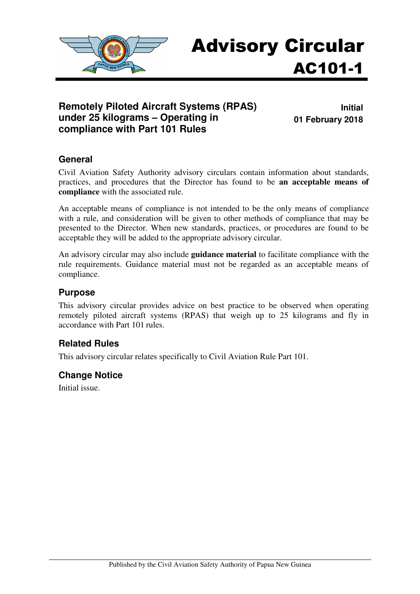

# Advisory Circular AC101-1

#### **Remotely Piloted Aircraft Systems (RPAS) under 25 kilograms – Operating in compliance with Part 101 Rules**

**Initial 01 February 2018** 

#### **General**

Civil Aviation Safety Authority advisory circulars contain information about standards, practices, and procedures that the Director has found to be **an acceptable means of compliance** with the associated rule.

An acceptable means of compliance is not intended to be the only means of compliance with a rule, and consideration will be given to other methods of compliance that may be presented to the Director. When new standards, practices, or procedures are found to be acceptable they will be added to the appropriate advisory circular.

An advisory circular may also include **guidance material** to facilitate compliance with the rule requirements. Guidance material must not be regarded as an acceptable means of compliance.

#### **Purpose**

This advisory circular provides advice on best practice to be observed when operating remotely piloted aircraft systems (RPAS) that weigh up to 25 kilograms and fly in accordance with Part 101 rules.

#### **Related Rules**

This advisory circular relates specifically to Civil Aviation Rule Part 101.

#### **Change Notice**

Initial issue.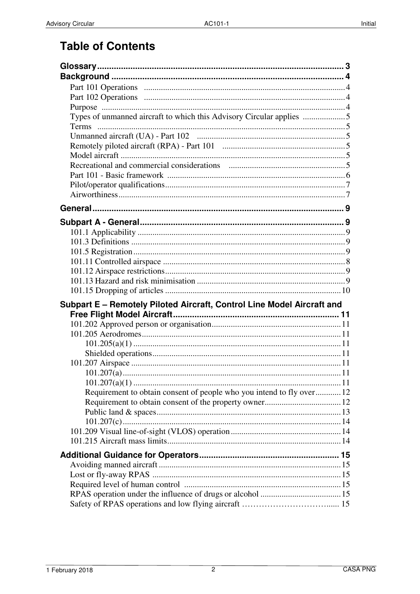# **Table of Contents**

| Types of unmanned aircraft to which this Advisory Circular applies     |  |
|------------------------------------------------------------------------|--|
|                                                                        |  |
|                                                                        |  |
|                                                                        |  |
|                                                                        |  |
|                                                                        |  |
|                                                                        |  |
|                                                                        |  |
|                                                                        |  |
|                                                                        |  |
|                                                                        |  |
|                                                                        |  |
|                                                                        |  |
|                                                                        |  |
|                                                                        |  |
|                                                                        |  |
|                                                                        |  |
| Subpart E - Remotely Piloted Aircraft, Control Line Model Aircraft and |  |
|                                                                        |  |
|                                                                        |  |
|                                                                        |  |
|                                                                        |  |
|                                                                        |  |
|                                                                        |  |
|                                                                        |  |
| Requirement to obtain consent of people who you intend to fly over12   |  |
|                                                                        |  |
|                                                                        |  |
|                                                                        |  |
|                                                                        |  |
|                                                                        |  |
|                                                                        |  |
|                                                                        |  |
|                                                                        |  |
|                                                                        |  |
|                                                                        |  |
|                                                                        |  |
|                                                                        |  |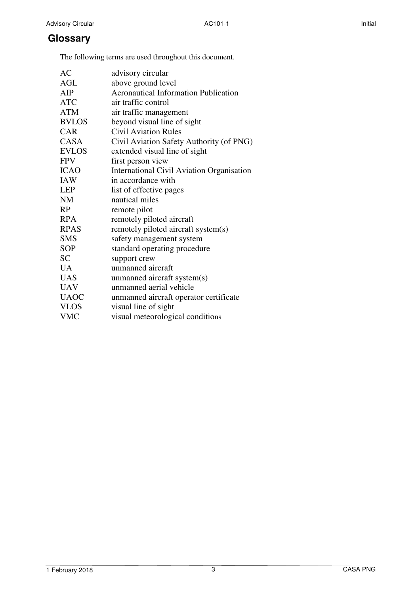### **Glossary**

The following terms are used throughout this document.

| AC           |                                                  |
|--------------|--------------------------------------------------|
|              | advisory circular                                |
| <b>AGL</b>   | above ground level                               |
| AIP          | <b>Aeronautical Information Publication</b>      |
| <b>ATC</b>   | air traffic control                              |
| <b>ATM</b>   | air traffic management                           |
| <b>BVLOS</b> | beyond visual line of sight                      |
| <b>CAR</b>   | Civil Aviation Rules                             |
| <b>CASA</b>  | Civil Aviation Safety Authority (of PNG)         |
| <b>EVLOS</b> | extended visual line of sight                    |
| <b>FPV</b>   | first person view                                |
| <b>ICAO</b>  | <b>International Civil Aviation Organisation</b> |
| <b>IAW</b>   | in accordance with                               |
| <b>LEP</b>   | list of effective pages                          |
| <b>NM</b>    | nautical miles                                   |
| RP           | remote pilot                                     |
| <b>RPA</b>   | remotely piloted aircraft                        |
| <b>RPAS</b>  | remotely piloted aircraft system(s)              |
| <b>SMS</b>   | safety management system                         |
| <b>SOP</b>   | standard operating procedure                     |
| <b>SC</b>    | support crew                                     |
| <b>UA</b>    | unmanned aircraft                                |
| <b>UAS</b>   | unmanned aircraft system(s)                      |
| <b>UAV</b>   | unmanned aerial vehicle                          |
| <b>UAOC</b>  | unmanned aircraft operator certificate           |
| <b>VLOS</b>  | visual line of sight                             |
| <b>VMC</b>   | visual meteorological conditions                 |
|              |                                                  |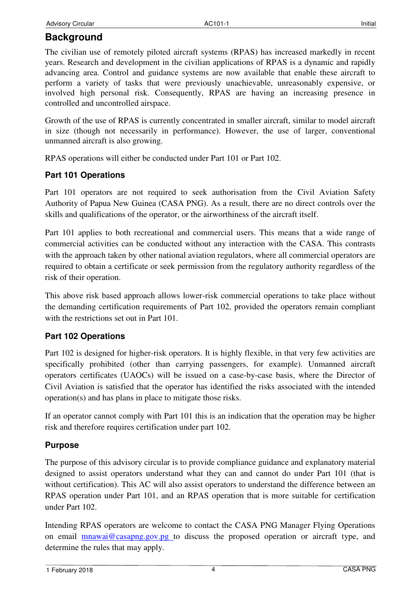## **Background**

The civilian use of remotely piloted aircraft systems (RPAS) has increased markedly in recent years. Research and development in the civilian applications of RPAS is a dynamic and rapidly advancing area. Control and guidance systems are now available that enable these aircraft to perform a variety of tasks that were previously unachievable, unreasonably expensive, or involved high personal risk. Consequently, RPAS are having an increasing presence in controlled and uncontrolled airspace.

Growth of the use of RPAS is currently concentrated in smaller aircraft, similar to model aircraft in size (though not necessarily in performance). However, the use of larger, conventional unmanned aircraft is also growing.

RPAS operations will either be conducted under Part 101 or Part 102.

#### **Part 101 Operations**

Part 101 operators are not required to seek authorisation from the Civil Aviation Safety Authority of Papua New Guinea (CASA PNG). As a result, there are no direct controls over the skills and qualifications of the operator, or the airworthiness of the aircraft itself.

Part 101 applies to both recreational and commercial users. This means that a wide range of commercial activities can be conducted without any interaction with the CASA. This contrasts with the approach taken by other national aviation regulators, where all commercial operators are required to obtain a certificate or seek permission from the regulatory authority regardless of the risk of their operation.

This above risk based approach allows lower-risk commercial operations to take place without the demanding certification requirements of Part 102, provided the operators remain compliant with the restrictions set out in Part 101.

#### **Part 102 Operations**

Part 102 is designed for higher-risk operators. It is highly flexible, in that very few activities are specifically prohibited (other than carrying passengers, for example). Unmanned aircraft operators certificates (UAOCs) will be issued on a case-by-case basis, where the Director of Civil Aviation is satisfied that the operator has identified the risks associated with the intended operation(s) and has plans in place to mitigate those risks.

If an operator cannot comply with Part 101 this is an indication that the operation may be higher risk and therefore requires certification under part 102.

#### **Purpose**

The purpose of this advisory circular is to provide compliance guidance and explanatory material designed to assist operators understand what they can and cannot do under Part 101 (that is without certification). This AC will also assist operators to understand the difference between an RPAS operation under Part 101, and an RPAS operation that is more suitable for certification under Part 102.

Intending RPAS operators are welcome to contact the CASA PNG Manager Flying Operations on email mnawai@casapng.gov.pg to discuss the proposed operation or aircraft type, and determine the rules that may apply.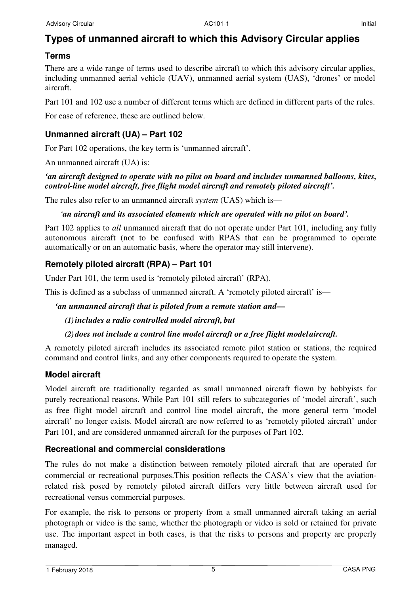# **Types of unmanned aircraft to which this Advisory Circular applies**

#### **Terms**

There are a wide range of terms used to describe aircraft to which this advisory circular applies, including unmanned aerial vehicle (UAV), unmanned aerial system (UAS), 'drones' or model aircraft.

Part 101 and 102 use a number of different terms which are defined in different parts of the rules.

For ease of reference, these are outlined below.

#### **Unmanned aircraft (UA) – Part 102**

For Part 102 operations, the key term is 'unmanned aircraft'.

An unmanned aircraft (UA) is:

#### *'an aircraft designed to operate with no pilot on board and includes unmanned balloons, kites, control-line model aircraft, free flight model aircraft and remotely piloted aircraft'.*

The rules also refer to an unmanned aircraft *system* (UAS) which is—

#### *'an aircraft and its associated elements which are operated with no pilot on board'.*

Part 102 applies to *all* unmanned aircraft that do not operate under Part 101, including any fully autonomous aircraft (not to be confused with RPAS that can be programmed to operate automatically or on an automatic basis, where the operator may still intervene).

#### **Remotely piloted aircraft (RPA) – Part 101**

Under Part 101, the term used is 'remotely piloted aircraft' (RPA).

This is defined as a subclass of unmanned aircraft. A 'remotely piloted aircraft' is—

*'an unmanned aircraft that is piloted from a remote station and—* 

#### *(1)includes a radio controlled model aircraft, but*

#### *(2) does not include a control line model aircraft or a free flight model aircraft.*

A remotely piloted aircraft includes its associated remote pilot station or stations, the required command and control links, and any other components required to operate the system.

#### **Model aircraft**

Model aircraft are traditionally regarded as small unmanned aircraft flown by hobbyists for purely recreational reasons. While Part 101 still refers to subcategories of 'model aircraft', such as free flight model aircraft and control line model aircraft, the more general term 'model aircraft' no longer exists. Model aircraft are now referred to as 'remotely piloted aircraft' under Part 101, and are considered unmanned aircraft for the purposes of Part 102.

#### **Recreational and commercial considerations**

The rules do not make a distinction between remotely piloted aircraft that are operated for commercial or recreational purposes.This position reflects the CASA's view that the aviationrelated risk posed by remotely piloted aircraft differs very little between aircraft used for recreational versus commercial purposes.

For example, the risk to persons or property from a small unmanned aircraft taking an aerial photograph or video is the same, whether the photograph or video is sold or retained for private use. The important aspect in both cases, is that the risks to persons and property are properly managed.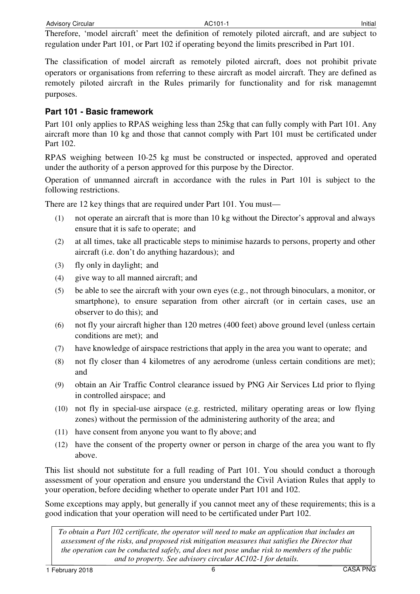Advisory Circular **AC101-1** AC101-1 **Initial** AC101-1

Therefore, 'model aircraft' meet the definition of remotely piloted aircraft, and are subject to regulation under Part 101, or Part 102 if operating beyond the limits prescribed in Part 101.

The classification of model aircraft as remotely piloted aircraft, does not prohibit private operators or organisations from referring to these aircraft as model aircraft. They are defined as remotely piloted aircraft in the Rules primarily for functionality and for risk managemnt purposes.

#### **Part 101 - Basic framework**

Part 101 only applies to RPAS weighing less than 25kg that can fully comply with Part 101. Any aircraft more than 10 kg and those that cannot comply with Part 101 must be certificated under Part 102.

RPAS weighing between 10-25 kg must be constructed or inspected, approved and operated under the authority of a person approved for this purpose by the Director.

Operation of unmanned aircraft in accordance with the rules in Part 101 is subject to the following restrictions.

There are 12 key things that are required under Part 101. You must—

- (1) not operate an aircraft that is more than 10 kg without the Director's approval and always ensure that it is safe to operate; and
- (2) at all times, take all practicable steps to minimise hazards to persons, property and other aircraft (i.e. don't do anything hazardous); and
- (3) fly only in daylight; and
- (4) give way to all manned aircraft; and
- (5) be able to see the aircraft with your own eyes (e.g., not through binoculars, a monitor, or smartphone), to ensure separation from other aircraft (or in certain cases, use an observer to do this); and
- (6) not fly your aircraft higher than 120 metres (400 feet) above ground level (unless certain conditions are met); and
- (7) have knowledge of airspace restrictions that apply in the area you want to operate; and
- (8) not fly closer than 4 kilometres of any aerodrome (unless certain conditions are met); and
- (9) obtain an Air Traffic Control clearance issued by PNG Air Services Ltd prior to flying in controlled airspace; and
- (10) not fly in special-use airspace (e.g. restricted, military operating areas or low flying zones) without the permission of the administering authority of the area; and
- (11) have consent from anyone you want to fly above; and
- (12) have the consent of the property owner or person in charge of the area you want to fly above.

This list should not substitute for a full reading of Part 101. You should conduct a thorough assessment of your operation and ensure you understand the Civil Aviation Rules that apply to your operation, before deciding whether to operate under Part 101 and 102.

Some exceptions may apply, but generally if you cannot meet any of these requirements; this is a good indication that your operation will need to be certificated under Part 102.

*To obtain a Part 102 certificate, the operator will need to make an application that includes an assessment of the risks, and proposed risk mitigation measures that satisfies the Director that the operation can be conducted safely, and does not pose undue risk to members of the public and to property. See advisory circular AC102-1 for details.*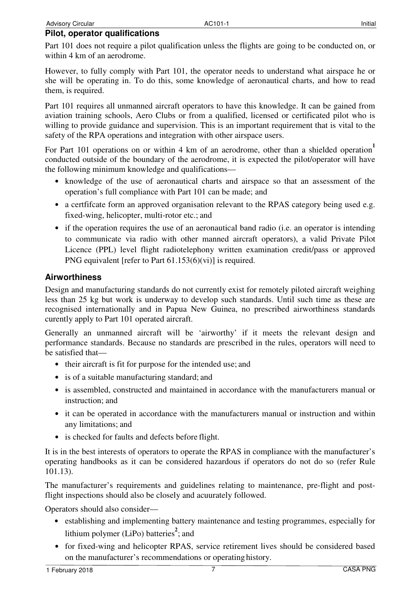Part 101 does not require a pilot qualification unless the flights are going to be conducted on, or within 4 km of an aerodrome.

However, to fully comply with Part 101, the operator needs to understand what airspace he or she will be operating in. To do this, some knowledge of aeronautical charts, and how to read them, is required.

Part 101 requires all unmanned aircraft operators to have this knowledge. It can be gained from aviation training schools, Aero Clubs or from a qualified, licensed or certificated pilot who is willing to provide guidance and supervision. This is an important requirement that is vital to the safety of the RPA operations and integration with other airspace users.

For Part 101 operations on or within 4 km of an aerodrome, other than a shielded operation<sup>1</sup> conducted outside of the boundary of the aerodrome, it is expected the pilot/operator will have the following minimum knowledge and qualifications—

- knowledge of the use of aeronautical charts and airspace so that an assessment of the operation's full compliance with Part 101 can be made; and
- a certificate form an approved organisation relevant to the RPAS category being used e.g. fixed-wing, helicopter, multi-rotor etc.; and
- if the operation requires the use of an aeronautical band radio (i.e. an operator is intending to communicate via radio with other manned aircraft operators), a valid Private Pilot Licence (PPL) level flight radiotelephony written examination credit/pass or approved PNG equivalent [refer to Part 61.153(6)(vi)] is required.

#### **Airworthiness**

Design and manufacturing standards do not currently exist for remotely piloted aircraft weighing less than 25 kg but work is underway to develop such standards. Until such time as these are recognised internationally and in Papua New Guinea, no prescribed airworthiness standards curently apply to Part 101 operated aircraft.

Generally an unmanned aircraft will be 'airworthy' if it meets the relevant design and performance standards. Because no standards are prescribed in the rules, operators will need to be satisfied that—

- their aircraft is fit for purpose for the intended use; and
- is of a suitable manufacturing standard; and
- is assembled, constructed and maintained in accordance with the manufacturers manual or instruction; and
- it can be operated in accordance with the manufacturers manual or instruction and within any limitations; and
- is checked for faults and defects before flight.

It is in the best interests of operators to operate the RPAS in compliance with the manufacturer's operating handbooks as it can be considered hazardous if operators do not do so (refer Rule 101.13).

The manufacturer's requirements and guidelines relating to maintenance, pre-flight and postflight inspections should also be closely and acuurately followed.

Operators should also consider—

- establishing and implementing battery maintenance and testing programmes, especially for lithium polymer (LiPo) batteries<sup>2</sup>; and
- for fixed-wing and helicopter RPAS, service retirement lives should be considered based on the manufacturer's recommendations or operating history.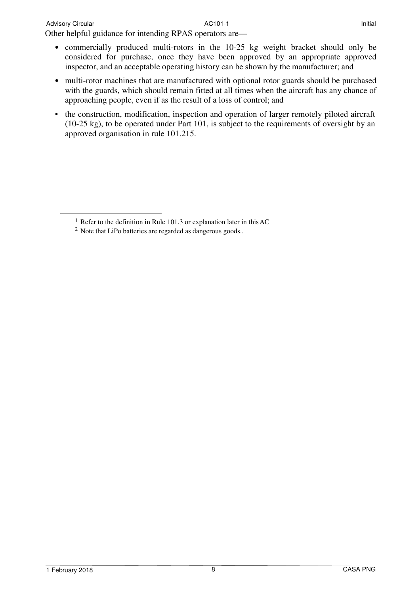- commercially produced multi-rotors in the 10-25 kg weight bracket should only be considered for purchase, once they have been approved by an appropriate approved inspector, and an acceptable operating history can be shown by the manufacturer; and
- multi-rotor machines that are manufactured with optional rotor guards should be purchased with the guards, which should remain fitted at all times when the aircraft has any chance of approaching people, even if as the result of a loss of control; and
- the construction, modification, inspection and operation of larger remotely piloted aircraft (10-25 kg), to be operated under Part 101, is subject to the requirements of oversight by an approved organisation in rule 101.215.

<sup>&</sup>lt;sup>1</sup> Refer to the definition in Rule 101.3 or explanation later in this AC

<sup>2</sup> Note that LiPo batteries are regarded as dangerous goods..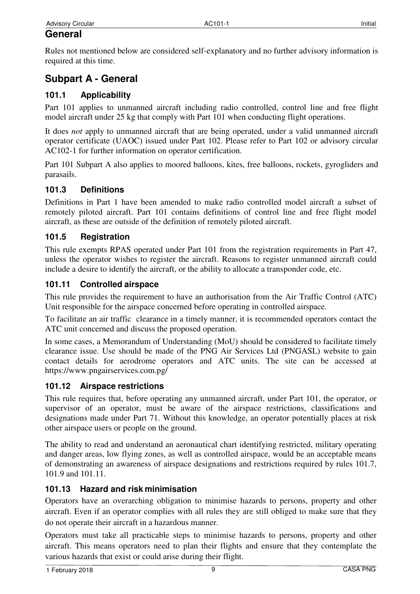Rules not mentioned below are considered self-explanatory and no further advisory information is required at this time.

# **Subpart A - General**

### **101.1 Applicability**

Part 101 applies to unmanned aircraft including radio controlled, control line and free flight model aircraft under 25 kg that comply with Part 101 when conducting flight operations.

It does *not* apply to unmanned aircraft that are being operated, under a valid unmanned aircraft operator certificate (UAOC) issued under Part 102. Please refer to Part 102 or advisory circular AC102-1 for further information on operator certification.

Part 101 Subpart A also applies to moored balloons, kites, free balloons, rockets, gyrogliders and parasails.

#### **101.3 Definitions**

Definitions in Part 1 have been amended to make radio controlled model aircraft a subset of remotely piloted aircraft. Part 101 contains definitions of control line and free flight model aircraft, as these are outside of the definition of remotely piloted aircraft.

#### **101.5 Registration**

This rule exempts RPAS operated under Part 101 from the registration requirements in Part 47, unless the operator wishes to register the aircraft. Reasons to register unmanned aircraft could include a desire to identify the aircraft, or the ability to allocate a transponder code, etc.

#### **101.11 Controlled airspace**

This rule provides the requirement to have an authorisation from the Air Traffic Control (ATC) Unit responsible for the airspace concerned before operating in controlled airspace.

To facilitate an air traffic clearance in a timely manner, it is recommended operators contact the ATC unit concerned and discuss the proposed operation.

In some cases, a Memorandum of Understanding (MoU) should be considered to facilitate timely clearance issue. Use should be made of the PNG Air Services Ltd (PNGASL) website to gain contact details for aerodrome operators and ATC units. The site can be accessed at https://www.pngairservices.com.pg/

#### **101.12 Airspace restrictions**

This rule requires that, before operating any unmanned aircraft, under Part 101, the operator, or supervisor of an operator, must be aware of the airspace restrictions, classifications and designations made under Part 71. Without this knowledge, an operator potentially places at risk other airspace users or people on the ground.

The ability to read and understand an aeronautical chart identifying restricted, military operating and danger areas, low flying zones, as well as controlled airspace, would be an acceptable means of demonstrating an awareness of airspace designations and restrictions required by rules 101.7, 101.9 and 101.11.

#### **101.13 Hazard and risk minimisation**

Operators have an overarching obligation to minimise hazards to persons, property and other aircraft. Even if an operator complies with all rules they are still obliged to make sure that they do not operate their aircraft in a hazardous manner.

Operators must take all practicable steps to minimise hazards to persons, property and other aircraft. This means operators need to plan their flights and ensure that they contemplate the various hazards that exist or could arise during their flight.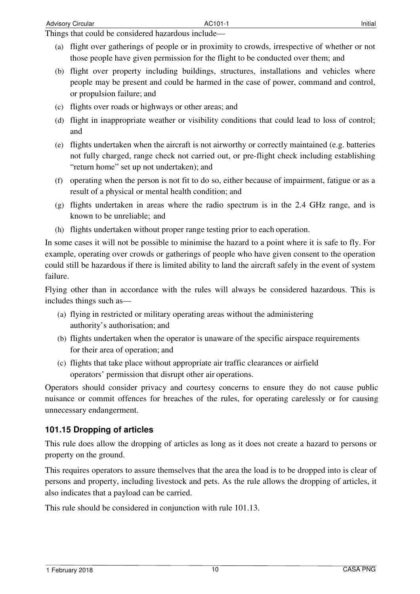Things that could be considered hazardous include—

- (a) flight over gatherings of people or in proximity to crowds, irrespective of whether or not those people have given permission for the flight to be conducted over them; and
- (b) flight over property including buildings, structures, installations and vehicles where people may be present and could be harmed in the case of power, command and control, or propulsion failure; and
- (c) flights over roads or highways or other areas; and
- (d) flight in inappropriate weather or visibility conditions that could lead to loss of control; and
- (e) flights undertaken when the aircraft is not airworthy or correctly maintained (e.g. batteries not fully charged, range check not carried out, or pre-flight check including establishing "return home" set up not undertaken); and
- (f) operating when the person is not fit to do so, either because of impairment, fatigue or as a result of a physical or mental health condition; and
- (g) flights undertaken in areas where the radio spectrum is in the 2.4 GHz range, and is known to be unreliable; and
- (h) flights undertaken without proper range testing prior to each operation.

In some cases it will not be possible to minimise the hazard to a point where it is safe to fly. For example, operating over crowds or gatherings of people who have given consent to the operation could still be hazardous if there is limited ability to land the aircraft safely in the event of system failure.

Flying other than in accordance with the rules will always be considered hazardous. This is includes things such as—

- (a) flying in restricted or military operating areas without the administering authority's authorisation; and
- (b) flights undertaken when the operator is unaware of the specific airspace requirements for their area of operation; and
- (c) flights that take place without appropriate air traffic clearances or airfield operators' permission that disrupt other air operations.

Operators should consider privacy and courtesy concerns to ensure they do not cause public nuisance or commit offences for breaches of the rules, for operating carelessly or for causing unnecessary endangerment.

#### **101.15 Dropping of articles**

This rule does allow the dropping of articles as long as it does not create a hazard to persons or property on the ground.

This requires operators to assure themselves that the area the load is to be dropped into is clear of persons and property, including livestock and pets. As the rule allows the dropping of articles, it also indicates that a payload can be carried.

This rule should be considered in conjunction with rule 101.13.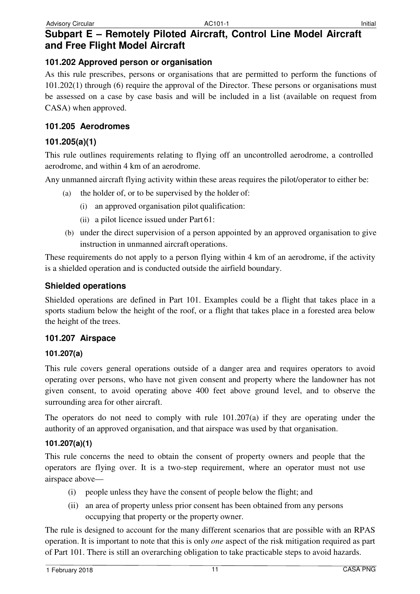#### **101.202 Approved person or organisation**

As this rule prescribes, persons or organisations that are permitted to perform the functions of 101.202(1) through (6) require the approval of the Director. These persons or organisations must be assessed on a case by case basis and will be included in a list (available on request from CASA) when approved.

#### **101.205 Aerodromes**

### **101.205(a)(1)**

This rule outlines requirements relating to flying off an uncontrolled aerodrome, a controlled aerodrome, and within 4 km of an aerodrome.

Any unmanned aircraft flying activity within these areas requires the pilot/operator to either be:

- (a) the holder of, or to be supervised by the holder of:
	- (i) an approved organisation pilot qualification:
	- (ii) a pilot licence issued under Part 61:
- (b) under the direct supervision of a person appointed by an approved organisation to give instruction in unmanned aircraft operations.

These requirements do not apply to a person flying within 4 km of an aerodrome, if the activity is a shielded operation and is conducted outside the airfield boundary.

#### **Shielded operations**

Shielded operations are defined in Part 101. Examples could be a flight that takes place in a sports stadium below the height of the roof, or a flight that takes place in a forested area below the height of the trees.

#### **101.207 Airspace**

#### **101.207(a)**

This rule covers general operations outside of a danger area and requires operators to avoid operating over persons, who have not given consent and property where the landowner has not given consent, to avoid operating above 400 feet above ground level, and to observe the surrounding area for other aircraft.

The operators do not need to comply with rule  $101.207(a)$  if they are operating under the authority of an approved organisation, and that airspace was used by that organisation.

#### **101.207(a)(1)**

This rule concerns the need to obtain the consent of property owners and people that the operators are flying over. It is a two-step requirement, where an operator must not use airspace above—

- (i) people unless they have the consent of people below the flight; and
- (ii) an area of property unless prior consent has been obtained from any persons occupying that property or the property owner.

The rule is designed to account for the many different scenarios that are possible with an RPAS operation. It is important to note that this is only *one* aspect of the risk mitigation required as part of Part 101. There is still an overarching obligation to take practicable steps to avoid hazards.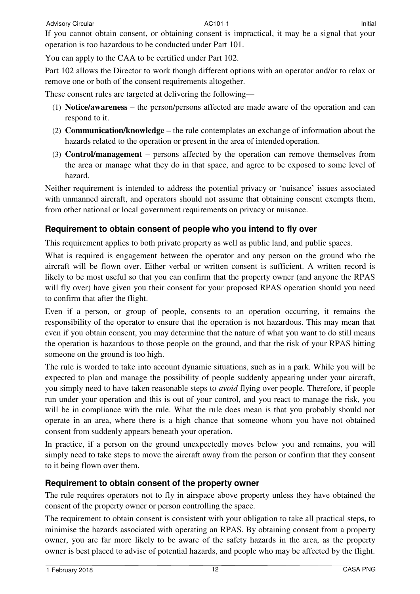If you cannot obtain consent, or obtaining consent is impractical, it may be a signal that your operation is too hazardous to be conducted under Part 101.

You can apply to the CAA to be certified under Part 102.

Part 102 allows the Director to work though different options with an operator and/or to relax or remove one or both of the consent requirements altogether.

These consent rules are targeted at delivering the following—

- (1) **Notice/awareness**  the person/persons affected are made aware of the operation and can respond to it.
- (2) **Communication/knowledge**  the rule contemplates an exchange of information about the hazards related to the operation or present in the area of intended operation.
- (3) **Control/management**  persons affected by the operation can remove themselves from the area or manage what they do in that space, and agree to be exposed to some level of hazard.

Neither requirement is intended to address the potential privacy or 'nuisance' issues associated with unmanned aircraft, and operators should not assume that obtaining consent exempts them, from other national or local government requirements on privacy or nuisance.

#### **Requirement to obtain consent of people who you intend to fly over**

This requirement applies to both private property as well as public land, and public spaces.

What is required is engagement between the operator and any person on the ground who the aircraft will be flown over. Either verbal or written consent is sufficient. A written record is likely to be most useful so that you can confirm that the property owner (and anyone the RPAS will fly over) have given you their consent for your proposed RPAS operation should you need to confirm that after the flight.

Even if a person, or group of people, consents to an operation occurring, it remains the responsibility of the operator to ensure that the operation is not hazardous. This may mean that even if you obtain consent, you may determine that the nature of what you want to do still means the operation is hazardous to those people on the ground, and that the risk of your RPAS hitting someone on the ground is too high.

The rule is worded to take into account dynamic situations, such as in a park. While you will be expected to plan and manage the possibility of people suddenly appearing under your aircraft, you simply need to have taken reasonable steps to *avoid* flying over people. Therefore, if people run under your operation and this is out of your control, and you react to manage the risk, you will be in compliance with the rule. What the rule does mean is that you probably should not operate in an area, where there is a high chance that someone whom you have not obtained consent from suddenly appears beneath your operation.

In practice, if a person on the ground unexpectedly moves below you and remains, you will simply need to take steps to move the aircraft away from the person or confirm that they consent to it being flown over them.

#### **Requirement to obtain consent of the property owner**

The rule requires operators not to fly in airspace above property unless they have obtained the consent of the property owner or person controlling the space.

The requirement to obtain consent is consistent with your obligation to take all practical steps, to minimise the hazards associated with operating an RPAS. By obtaining consent from a property owner, you are far more likely to be aware of the safety hazards in the area, as the property owner is best placed to advise of potential hazards, and people who may be affected by the flight.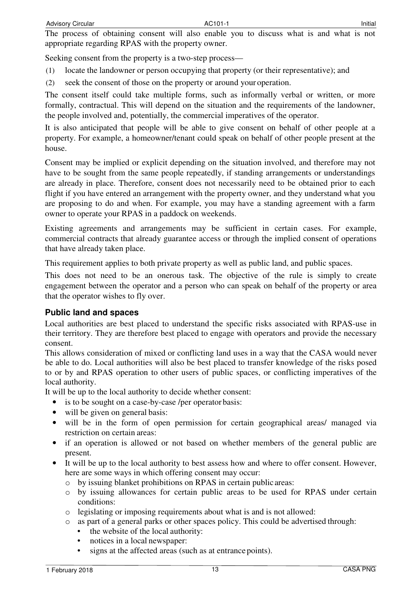The process of obtaining consent will also enable you to discuss what is and what is not appropriate regarding RPAS with the property owner.

Seeking consent from the property is a two-step process—

- (1) locate the landowner or person occupying that property (or their representative); and
- (2) seek the consent of those on the property or around your operation.

The consent itself could take multiple forms, such as informally verbal or written, or more formally, contractual. This will depend on the situation and the requirements of the landowner, the people involved and, potentially, the commercial imperatives of the operator.

It is also anticipated that people will be able to give consent on behalf of other people at a property. For example, a homeowner/tenant could speak on behalf of other people present at the house.

Consent may be implied or explicit depending on the situation involved, and therefore may not have to be sought from the same people repeatedly, if standing arrangements or understandings are already in place. Therefore, consent does not necessarily need to be obtained prior to each flight if you have entered an arrangement with the property owner, and they understand what you are proposing to do and when. For example, you may have a standing agreement with a farm owner to operate your RPAS in a paddock on weekends.

Existing agreements and arrangements may be sufficient in certain cases. For example, commercial contracts that already guarantee access or through the implied consent of operations that have already taken place.

This requirement applies to both private property as well as public land, and public spaces.

This does not need to be an onerous task. The objective of the rule is simply to create engagement between the operator and a person who can speak on behalf of the property or area that the operator wishes to fly over.

#### **Public land and spaces**

Local authorities are best placed to understand the specific risks associated with RPAS-use in their territory. They are therefore best placed to engage with operators and provide the necessary consent.

This allows consideration of mixed or conflicting land uses in a way that the CASA would never be able to do. Local authorities will also be best placed to transfer knowledge of the risks posed to or by and RPAS operation to other users of public spaces, or conflicting imperatives of the local authority.

It will be up to the local authority to decide whether consent:

- is to be sought on a case-by-case /per operator basis:
- will be given on general basis:
- will be in the form of open permission for certain geographical areas/ managed via restriction on certain areas:
- if an operation is allowed or not based on whether members of the general public are present.
- It will be up to the local authority to best assess how and where to offer consent. However, here are some ways in which offering consent may occur:
	- o by issuing blanket prohibitions on RPAS in certain public areas:
	- o by issuing allowances for certain public areas to be used for RPAS under certain conditions:
	- o legislating or imposing requirements about what is and is not allowed:
	- o as part of a general parks or other spaces policy. This could be advertised through:
		- the website of the local authority:
		- notices in a local newspaper:
		- signs at the affected areas (such as at entrance points).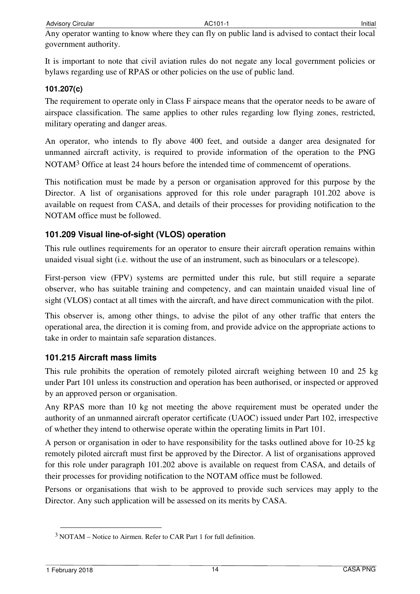Any operator wanting to know where they can fly on public land is advised to contact their local government authority.

It is important to note that civil aviation rules do not negate any local government policies or bylaws regarding use of RPAS or other policies on the use of public land.

#### **101.207(c)**

The requirement to operate only in Class F airspace means that the operator needs to be aware of airspace classification. The same applies to other rules regarding low flying zones, restricted, military operating and danger areas.

An operator, who intends to fly above 400 feet, and outside a danger area designated for unmanned aircraft activity, is required to provide information of the operation to the PNG NOTAM<sup>3</sup> Office at least 24 hours before the intended time of commencemt of operations.

This notification must be made by a person or organisation approved for this purpose by the Director. A list of organisations approved for this role under paragraph 101.202 above is available on request from CASA, and details of their processes for providing notification to the NOTAM office must be followed.

#### **101.209 Visual line-of-sight (VLOS) operation**

This rule outlines requirements for an operator to ensure their aircraft operation remains within unaided visual sight (i.e. without the use of an instrument, such as binoculars or a telescope).

First-person view (FPV) systems are permitted under this rule, but still require a separate observer, who has suitable training and competency, and can maintain unaided visual line of sight (VLOS) contact at all times with the aircraft, and have direct communication with the pilot.

This observer is, among other things, to advise the pilot of any other traffic that enters the operational area, the direction it is coming from, and provide advice on the appropriate actions to take in order to maintain safe separation distances.

#### **101.215 Aircraft mass limits**

This rule prohibits the operation of remotely piloted aircraft weighing between 10 and 25 kg under Part 101 unless its construction and operation has been authorised, or inspected or approved by an approved person or organisation.

Any RPAS more than 10 kg not meeting the above requirement must be operated under the authority of an unmanned aircraft operator certificate (UAOC) issued under Part 102, irrespective of whether they intend to otherwise operate within the operating limits in Part 101.

A person or organisation in oder to have responsibility for the tasks outlined above for 10-25 kg remotely piloted aircraft must first be approved by the Director. A list of organisations approved for this role under paragraph 101.202 above is available on request from CASA, and details of their processes for providing notification to the NOTAM office must be followed.

Persons or organisations that wish to be approved to provide such services may apply to the Director. Any such application will be assessed on its merits by CASA.

<sup>3</sup>NOTAM – Notice to Airmen. Refer to CAR Part 1 for full definition.